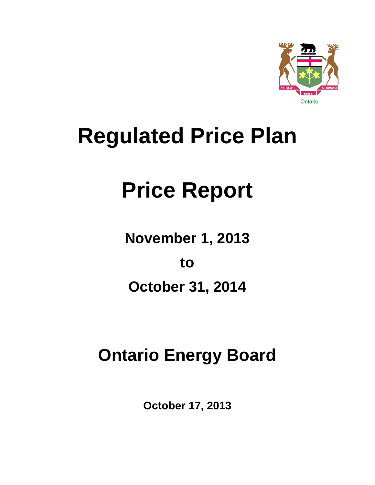

## **Regulated Price Plan**

# **Price Report**

**November 1, 2013**

**to** 

**October 31, 2014**

## **Ontario Energy Board**

**October 17, 2013**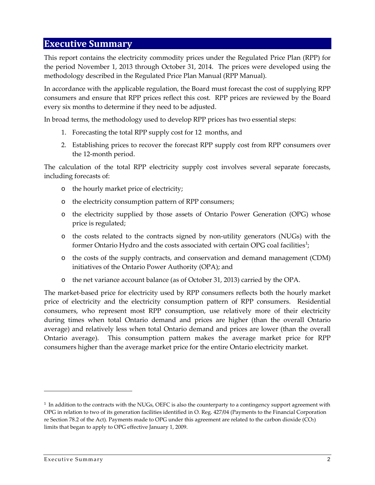#### <span id="page-1-1"></span>**Executive Summary**

This report contains the electricity commodity prices under the Regulated Price Plan (RPP) for the period November 1, 2013 through October 31, 2014. The prices were developed using the methodology described in the Regulated Price Plan Manual (RPP Manual).

In accordance with the applicable regulation, the Board must forecast the cost of supplying RPP consumers and ensure that RPP prices reflect this cost. RPP prices are reviewed by the Board every six months to determine if they need to be adjusted.

In broad terms, the methodology used to develop RPP prices has two essential steps:

- 1. Forecasting the total RPP supply cost for 12 months, and
- 2. Establishing prices to recover the forecast RPP supply cost from RPP consumers over the 12-month period.

The calculation of the total RPP electricity supply cost involves several separate forecasts, including forecasts of:

- o the hourly market price of electricity;
- o the electricity consumption pattern of RPP consumers;
- o the electricity supplied by those assets of Ontario Power Generation (OPG) whose price is regulated;
- o the costs related to the contracts signed by non-utility generators (NUGs) with the former Ontario Hydro and the costs associated with certain OPG coal facilities<sup>[1](#page-1-0)</sup>;
- o the costs of the supply contracts, and conservation and demand management (CDM) initiatives of the Ontario Power Authority (OPA); and
- o the net variance account balance (as of October 31, 2013) carried by the OPA.

The market-based price for electricity used by RPP consumers reflects both the hourly market price of electricity and the electricity consumption pattern of RPP consumers. Residential consumers, who represent most RPP consumption, use relatively more of their electricity during times when total Ontario demand and prices are higher (than the overall Ontario average) and relatively less when total Ontario demand and prices are lower (than the overall Ontario average). This consumption pattern makes the average market price for RPP consumers higher than the average market price for the entire Ontario electricity market.

<span id="page-1-0"></span><sup>&</sup>lt;sup>1</sup> In addition to the contracts with the NUGs, OEFC is also the counterparty to a contingency support agreement with OPG in relation to two of its generation facilities identified in O. Reg. 427/04 (Payments to the Financial Corporation re Section 78.2 of the Act). Payments made to OPG under this agreement are related to the carbon dioxide (CO2) limits that began to apply to OPG effective January 1, 2009.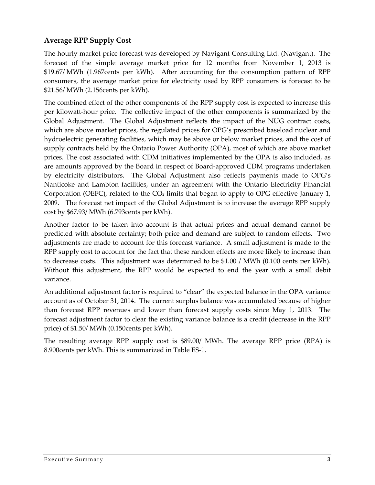#### <span id="page-2-0"></span>**Average RPP Supply Cost**

The hourly market price forecast was developed by Navigant Consulting Ltd. (Navigant). The forecast of the simple average market price for 12 months from November 1, 2013 is \$19.67/ MWh (1.967cents per kWh). After accounting for the consumption pattern of RPP consumers, the average market price for electricity used by RPP consumers is forecast to be \$21.56/ MWh (2.156cents per kWh).

The combined effect of the other components of the RPP supply cost is expected to increase this per kilowatt-hour price. The collective impact of the other components is summarized by the Global Adjustment. The Global Adjustment reflects the impact of the NUG contract costs, which are above market prices, the regulated prices for OPG's prescribed baseload nuclear and hydroelectric generating facilities, which may be above or below market prices, and the cost of supply contracts held by the Ontario Power Authority (OPA), most of which are above market prices. The cost associated with CDM initiatives implemented by the OPA is also included, as are amounts approved by the Board in respect of Board-approved CDM programs undertaken by electricity distributors. The Global Adjustment also reflects payments made to OPG's Nanticoke and Lambton facilities, under an agreement with the Ontario Electricity Financial Corporation (OEFC), related to the  $CO<sub>2</sub>$  limits that began to apply to OPG effective January 1, 2009. The forecast net impact of the Global Adjustment is to increase the average RPP supply cost by \$67.93/ MWh (6.793cents per kWh).

Another factor to be taken into account is that actual prices and actual demand cannot be predicted with absolute certainty; both price and demand are subject to random effects. Two adjustments are made to account for this forecast variance. A small adjustment is made to the RPP supply cost to account for the fact that these random effects are more likely to increase than to decrease costs. This adjustment was determined to be \$1.00 / MWh (0.100 cents per kWh). Without this adjustment, the RPP would be expected to end the year with a small debit variance.

An additional adjustment factor is required to "clear" the expected balance in the OPA variance account as of October 31, 2014. The current surplus balance was accumulated because of higher than forecast RPP revenues and lower than forecast supply costs since May 1, 2013. The forecast adjustment factor to clear the existing variance balance is a credit (decrease in the RPP price) of \$1.50/ MWh (0.150cents per kWh).

The resulting average RPP supply cost is \$89.00/ MWh. The average RPP price (RPA) is 8.900cents per kWh. This is summarized in Table ES-1.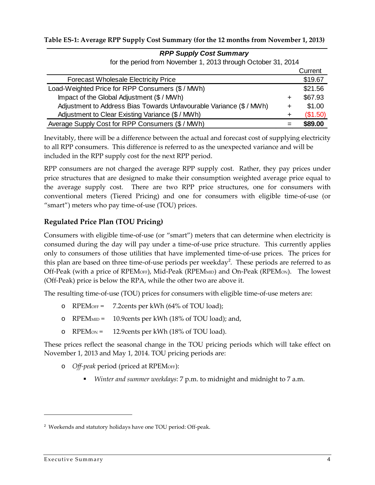#### **Table ES-1: Average RPP Supply Cost Summary (for the 12 months from November 1, 2013)**

| for the period from November 1, 2013 through October 31, 2014      |   |          |
|--------------------------------------------------------------------|---|----------|
|                                                                    |   | Current  |
| <b>Forecast Wholesale Electricity Price</b>                        |   | \$19.67  |
| Load-Weighted Price for RPP Consumers (\$ / MWh)                   |   | \$21.56  |
| Impact of the Global Adjustment (\$ / MWh)                         | ÷ | \$67.93  |
| Adjustment to Address Bias Towards Unfavourable Variance (\$/ MWh) | ÷ | \$1.00   |
| Adjustment to Clear Existing Variance (\$/MWh)                     | ÷ | (\$1.50) |
| Average Supply Cost for RPP Consumers (\$ / MWh)                   |   | \$89.00  |

*RPP Supply Cost Summary* for the period from November 1, 2013 through October 31, 2014

Inevitably, there will be a difference between the actual and forecast cost of supplying electricity to all RPP consumers. This difference is referred to as the unexpected variance and will be included in the RPP supply cost for the next RPP period.

RPP consumers are not charged the average RPP supply cost. Rather, they pay prices under price structures that are designed to make their consumption weighted average price equal to the average supply cost. There are two RPP price structures, one for consumers with conventional meters (Tiered Pricing) and one for consumers with eligible time-of-use (or "smart") meters who pay time-of-use (TOU) prices.

#### <span id="page-3-1"></span>**Regulated Price Plan (TOU Pricing)**

Consumers with eligible time-of-use (or "smart") meters that can determine when electricity is consumed during the day will pay under a time-of-use price structure. This currently applies only to consumers of those utilities that have implemented time-of-use prices. The prices for this plan are based on three time-of-use periods per weekday<sup>[2](#page-3-0)</sup>. These periods are referred to as Off-Peak (with a price of RPEM<sub>OFF</sub>), Mid-Peak (RPEM<sub>MID</sub>) and On-Peak (RPEM<sub>ON</sub>). The lowest (Off-Peak) price is below the RPA, while the other two are above it.

The resulting time-of-use (TOU) prices for consumers with eligible time-of-use meters are:

- o RPEMOFF = 7.2cents per kWh (64% of TOU load);
- o RPEMMID = 10.9cents per kWh (18% of TOU load); and,
- o RPEMON = 12.9cents per kWh (18% of TOU load).

These prices reflect the seasonal change in the TOU pricing periods which will take effect on November 1, 2013 and May 1, 2014. TOU pricing periods are:

- o *Off-peak* period (priced at RPEMOFF):
	- *Winter and summer weekdays*: 7 p.m. to midnight and midnight to 7 a.m.

l

<span id="page-3-0"></span><sup>&</sup>lt;sup>2</sup> Weekends and statutory holidays have one TOU period: Off-peak.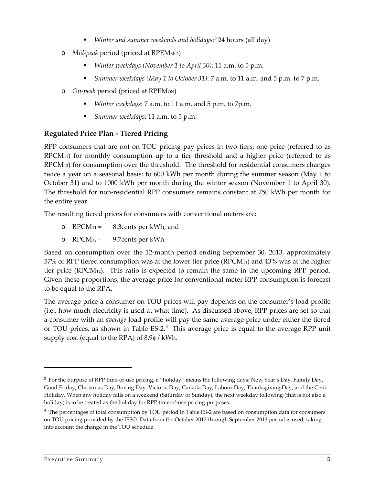- *Winter and summer weekends and holidays*: [3](#page-4-0) 24 hours (all day)
- o *Mid-peak* period (priced at RPEMMID)
	- *Winter weekdays (November 1 to April 30)*: 11 a.m. to 5 p.m.
	- *Summer weekdays (May 1 to October 31)*: 7 a.m. to 11 a.m. and 5 p.m. to 7 p.m.
- o *On-peak* period (priced at RPEMON)
	- *Winter weekdays*: 7 a.m. to 11 a.m. and 5 p.m. to 7p.m.
	- *Summer weekdays*: 11 a.m. to 5 p.m.

#### <span id="page-4-2"></span>**Regulated Price Plan - Tiered Pricing**

RPP consumers that are not on TOU pricing pay prices in two tiers; one price (referred to as  $RPCM_{\text{TI}}$ ) for monthly consumption up to a tier threshold and a higher price (referred to as RPCMT2) for consumption over the threshold. The threshold for residential consumers changes twice a year on a seasonal basis: to 600 kWh per month during the summer season (May 1 to October 31) and to 1000 kWh per month during the winter season (November 1 to April 30). The threshold for non-residential RPP consumers remains constant at 750 kWh per month for the entire year.

The resulting tiered prices for consumers with conventional meters are:

- o  $RPCM_{T1} = 8.3$ cents per kWh, and
- o  $RPCM_{T2}$  = 9.7 cents per kWh.

Based on consumption over the 12-month period ending September 30, 2013, approximately  $57\%$  of RPP tiered consumption was at the lower tier price (RPCM $_{\text{TI}}$ ) and 43% was at the higher tier price (RPCMT2). This ratio is expected to remain the same in the upcoming RPP period. Given these proportions, the average price for conventional meter RPP consumption is forecast to be equal to the RPA.

The average price a consumer on TOU prices will pay depends on the consumer's load profile (i.e., how much electricity is used at what time). As discussed above, RPP prices are set so that a consumer with an *average* load profile will pay the same average price under either the tiered or TOU prices, as shown in Table ES-2.<sup>[4](#page-4-1)</sup> This average price is equal to the average RPP unit supply cost (equal to the RPA) of 8.9¢ / kWh.

<span id="page-4-0"></span><sup>&</sup>lt;sup>3</sup> For the purpose of RPP time-of-use pricing, a "holiday" means the following days: New Year's Day, Family Day, Good Friday, Christmas Day, Boxing Day, Victoria Day, Canada Day, Labour Day, Thanksgiving Day, and the Civic Holiday. When any holiday falls on a weekend (Saturday or Sunday), the next weekday following (that is not also a holiday) is to be treated as the holiday for RPP time-of-use pricing purposes.

<span id="page-4-1"></span><sup>4</sup> The percentages of total consumption by TOU period in Table ES-2 are based on consumption data for consumers on TOU pricing provided by the IESO. Data from the October 2012 through September 2013 period is used, taking into account the change in the TOU schedule.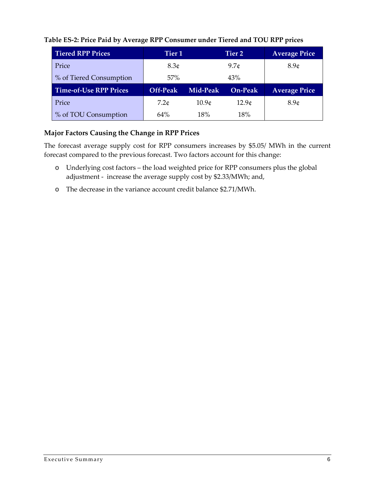| <b>Tiered RPP Prices</b>      | Tier <sub>1</sub> |                   | Tier 2            |                      |
|-------------------------------|-------------------|-------------------|-------------------|----------------------|
| Price                         | 8.3 <sub>¢</sub>  | 9.7c              |                   | 8.9 <sub>0</sub>     |
| % of Tiered Consumption       | 57%               |                   | 43%               |                      |
|                               |                   |                   |                   |                      |
| <b>Time-of-Use RPP Prices</b> | <b>Off-Peak</b>   | Mid-Peak          | <b>On-Peak</b>    | <b>Average Price</b> |
| Price                         | 7.2c              | 10.9 <sub>¢</sub> | 12.9 <sub>¢</sub> | 8.9 <sub>0</sub>     |

#### **Table ES-2: Price Paid by Average RPP Consumer under Tiered and TOU RPP prices**

#### **Major Factors Causing the Change in RPP Prices**

The forecast average supply cost for RPP consumers increases by \$5.05/ MWh in the current forecast compared to the previous forecast. Two factors account for this change:

- o Underlying cost factors the load weighted price for RPP consumers plus the global adjustment - increase the average supply cost by \$2.33/MWh; and,
- o The decrease in the variance account credit balance \$2.71/MWh.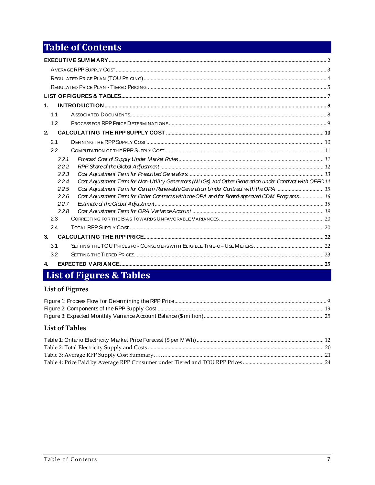## **Table of Contents**

| $\mathbf{1}$                                                                                                    |  |
|-----------------------------------------------------------------------------------------------------------------|--|
| 1.1                                                                                                             |  |
| 1.2                                                                                                             |  |
| 2.                                                                                                              |  |
| 2.1                                                                                                             |  |
| 22                                                                                                              |  |
| 2.2.1                                                                                                           |  |
| 2.2.2                                                                                                           |  |
| 2.2.3                                                                                                           |  |
| Cost Adjustment Term for Non-Utility Generators (NUGs) and Other Generation under Contract with OEFC14<br>2.2.4 |  |
| Cost Adjustment Term for Certain Renewable Generation Under Contract with the OPA  15<br>2.2.5                  |  |
| Cost Adjustment Term for Other Contracts with the OPA and for Board-approved CDM Programs 16<br>2.2.6           |  |
| 2.2.7                                                                                                           |  |
| 2.2.8                                                                                                           |  |
| 2.3                                                                                                             |  |
| 2.4                                                                                                             |  |
| 3.                                                                                                              |  |
| 3.1                                                                                                             |  |
| 3.2                                                                                                             |  |
| $\overline{4}$                                                                                                  |  |

## <span id="page-6-0"></span>List of Figures & Tables

#### **List of Figures**

#### **List of Tables**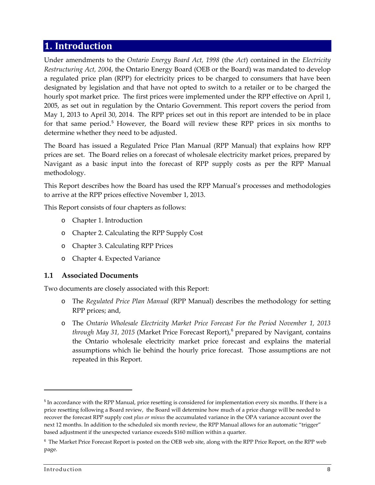## <span id="page-7-0"></span>**1. Introduction**

Under amendments to the *Ontario Energy Board Act, 1998* (the *Act*) contained in the *Electricity Restructuring Act, 2004*, the Ontario Energy Board (OEB or the Board) was mandated to develop a regulated price plan (RPP) for electricity prices to be charged to consumers that have been designated by legislation and that have not opted to switch to a retailer or to be charged the hourly spot market price. The first prices were implemented under the RPP effective on April 1, 2005, as set out in regulation by the Ontario Government. This report covers the period from May 1, 2013 to April 30, 2014. The RPP prices set out in this report are intended to be in place for that same period.<sup>[5](#page-7-2)</sup> However, the Board will review these RPP prices in six months to determine whether they need to be adjusted.

The Board has issued a Regulated Price Plan Manual (RPP Manual) that explains how RPP prices are set. The Board relies on a forecast of wholesale electricity market prices, prepared by Navigant as a basic input into the forecast of RPP supply costs as per the RPP Manual methodology.

This Report describes how the Board has used the RPP Manual's processes and methodologies to arrive at the RPP prices effective November 1, 2013.

This Report consists of four chapters as follows:

- o Chapter 1. Introduction
- o Chapter 2. Calculating the RPP Supply Cost
- o Chapter 3. Calculating RPP Prices
- o Chapter 4. Expected Variance

#### <span id="page-7-1"></span>**1.1 Associated Documents**

Two documents are closely associated with this Report:

- o The *Regulated Price Plan Manual* (RPP Manual) describes the methodology for setting RPP prices; and,
- o The *Ontario Wholesale Electricity Market Price Forecast For the Period November 1, 2013 through May 31, 2015* (Market Price Forecast Report),<sup>[6](#page-7-3)</sup> prepared by Navigant, contains the Ontario wholesale electricity market price forecast and explains the material assumptions which lie behind the hourly price forecast. Those assumptions are not repeated in this Report.

<span id="page-7-2"></span><sup>5</sup> In accordance with the RPP Manual, price resetting is considered for implementation every six months. If there is a price resetting following a Board review, the Board will determine how much of a price change will be needed to recover the forecast RPP supply cost *plus or minus* the accumulated variance in the OPA variance account over the next 12 months. In addition to the scheduled six month review, the RPP Manual allows for an automatic "trigger" based adjustment if the unexpected variance exceeds \$160 million within a quarter.

<span id="page-7-3"></span><sup>6</sup> The Market Price Forecast Report is posted on the OEB web site, along with the RPP Price Report, on the RPP web page.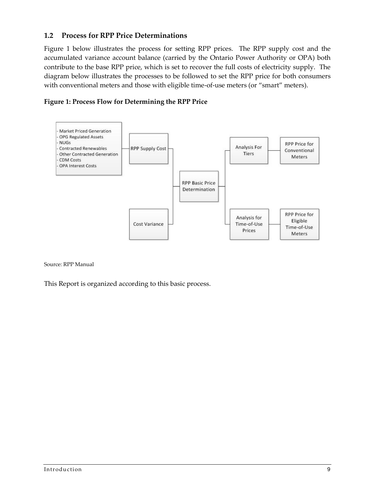#### <span id="page-8-0"></span>**1.2 Process for RPP Price Determinations**

Figure 1 below illustrates the process for setting RPP prices. The RPP supply cost and the accumulated variance account balance (carried by the Ontario Power Authority or OPA) both contribute to the base RPP price, which is set to recover the full costs of electricity supply. The diagram below illustrates the processes to be followed to set the RPP price for both consumers with conventional meters and those with eligible time-of-use meters (or "smart" meters).

<span id="page-8-1"></span>



Source: RPP Manual

This Report is organized according to this basic process.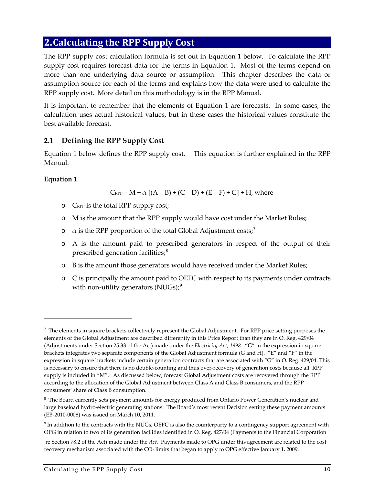## <span id="page-9-0"></span>**2.Calculating the RPP Supply Cost**

The RPP supply cost calculation formula is set out in Equation 1 below. To calculate the RPP supply cost requires forecast data for the terms in [Equation 1.](#page-9-2) Most of the terms depend on more than one underlying data source or assumption. This chapter describes the data or assumption source for each of the terms and explains how the data were used to calculate the RPP supply cost. More detail on this methodology is in the RPP Manual.

It is important to remember that the elements of [Equation 1](#page-9-2) are forecasts. In some cases, the calculation uses actual historical values, but in these cases the historical values constitute the best available forecast.

#### <span id="page-9-1"></span>**2.1 Defining the RPP Supply Cost**

[Equation 1](#page-9-2) below defines the RPP supply cost. This equation is further explained in the RPP Manual.

#### <span id="page-9-2"></span>**Equation 1**

 $\overline{a}$ 

 $C_{RPP} = M + \alpha [(A - B) + (C - D) + (E - F) + G] + H$ , where

- o CRPP is the total RPP supply cost;
- o M is the amount that the RPP supply would have cost under the Market Rules;
- $\circ$  a is the RPP proportion of the total Global Adjustment costs;<sup>[7](#page-9-3)</sup>
- o A is the amount paid to prescribed generators in respect of the output of their prescribed generation facilities;<sup>[8](#page-9-4)</sup>
- o B is the amount those generators would have received under the Market Rules;
- o C is principally the amount paid to OEFC with respect to its payments under contracts with non-utility generators  $(NUGs)_i^9$  $(NUGs)_i^9$

<span id="page-9-3"></span><sup>&</sup>lt;sup>7</sup> The elements in square brackets collectively represent the Global Adjustment. For RPP price setting purposes the elements of the Global Adjustment are described differently in this Price Report than they are in O. Reg. 429/04 (Adjustments under Section 25.33 of the Act) made under the *Electricity Act, 1998.* "G" in the expression in square brackets integrates two separate components of the Global Adjustment formula (G and H). "E" and "F" in the expression in square brackets include certain generation contracts that are associated with "G" in O. Reg. 429/04. This is necessary to ensure that there is no double-counting and thus over-recovery of generation costs because all RPP supply is included in "M". As discussed below, forecast Global Adjustment costs are recovered through the RPP according to the allocation of the Global Adjustment between Class A and Class B consumers, and the RPP consumers' share of Class B consumption.

<span id="page-9-4"></span><sup>&</sup>lt;sup>8</sup> The Board currently sets payment amounts for energy produced from Ontario Power Generation's nuclear and large baseload hydro-electric generating stations. The Board's most recent Decision setting these payment amounts (EB-2010-0008) was issued on March 10, 2011.

<span id="page-9-5"></span><sup>&</sup>lt;sup>9</sup> In addition to the contracts with the NUGs, OEFC is also the counterparty to a contingency support agreement with OPG in relation to two of its generation facilities identified in O. Reg. 427/04 (Payments to the Financial Corporation

re Section 78.2 of the Act) made under the *Act.* Payments made to OPG under this agreement are related to the cost recovery mechanism associated with the CO2 limits that began to apply to OPG effective January 1, 2009.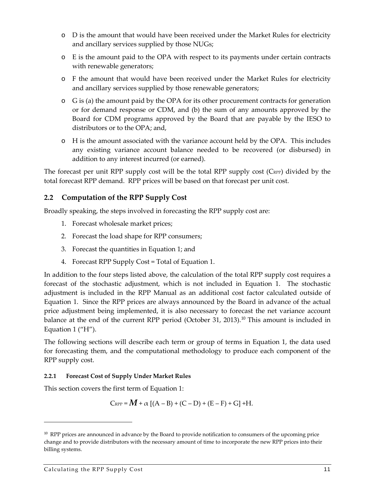- o D is the amount that would have been received under the Market Rules for electricity and ancillary services supplied by those NUGs;
- o E is the amount paid to the OPA with respect to its payments under certain contracts with renewable generators;
- o F the amount that would have been received under the Market Rules for electricity and ancillary services supplied by those renewable generators;
- o G is (a) the amount paid by the OPA for its other procurement contracts for generation or for demand response or CDM, and (b) the sum of any amounts approved by the Board for CDM programs approved by the Board that are payable by the IESO to distributors or to the OPA; and,
- o H is the amount associated with the variance account held by the OPA. This includes any existing variance account balance needed to be recovered (or disbursed) in addition to any interest incurred (or earned).

The forecast per unit RPP supply cost will be the total RPP supply cost (C<sub>RPP</sub>) divided by the total forecast RPP demand. RPP prices will be based on that forecast per unit cost.

#### <span id="page-10-0"></span>**2.2 Computation of the RPP Supply Cost**

Broadly speaking, the steps involved in forecasting the RPP supply cost are:

- 1. Forecast wholesale market prices;
- 2. Forecast the load shape for RPP consumers;
- 3. Forecast the quantities in [Equation 1;](#page-9-2) and
- 4. Forecast RPP Supply Cost = Total of [Equation 1.](#page-9-2)

In addition to the four steps listed above, the calculation of the total RPP supply cost requires a forecast of the stochastic adjustment, which is not included in [Equation 1.](#page-9-2) The stochastic adjustment is included in the RPP Manual as an additional cost factor calculated outside of [Equation 1.](#page-9-2) Since the RPP prices are always announced by the Board in advance of the actual price adjustment being implemented, it is also necessary to forecast the net variance account balance at the end of the current RPP period (October 31, 2013).<sup>[10](#page-10-2)</sup> This amount is included in Equation 1  $("H")$ .

The following sections will describe each term or group of terms in [Equation 1,](#page-9-2) the data used for forecasting them, and the computational methodology to produce each component of the RPP supply cost.

#### <span id="page-10-1"></span>**2.2.1 Forecast Cost of Supply Under Market Rules**

This section covers the first term of [Equation 1:](#page-9-2)

$$
C_{\text{RPP}} = M + \alpha [(A - B) + (C - D) + (E - F) + G] + H.
$$

<span id="page-10-2"></span><sup>&</sup>lt;sup>10</sup> RPP prices are announced in advance by the Board to provide notification to consumers of the upcoming price change and to provide distributors with the necessary amount of time to incorporate the new RPP prices into their billing systems.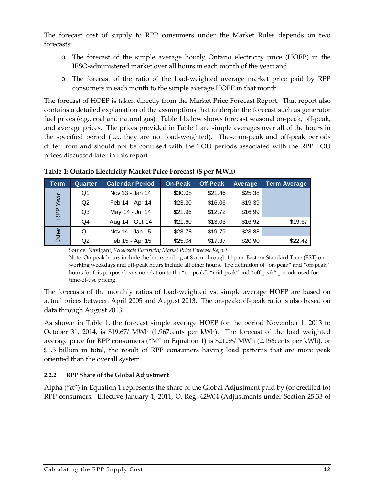The forecast cost of supply to RPP consumers under the Market Rules depends on two forecasts:

- o The forecast of the simple average hourly Ontario electricity price (HOEP) in the IESO-administered market over all hours in each month of the year; and
- o The forecast of the ratio of the load-weighted average market price paid by RPP consumers in each month to the simple average HOEP in that month.

The forecast of HOEP is taken directly from the Market Price Forecast Report. That report also contains a detailed explanation of the assumptions that underpin the forecast such as generator fuel prices (e.g., coal and natural gas). [Table 1](#page-11-1) below shows forecast seasonal on-peak, off-peak, and average prices. The prices provided in [Table 1](#page-11-1) are simple averages over all of the hours in the specified period (i.e., they are not load-weighted). These on-peak and off-peak periods differ from and should not be confused with the TOU periods associated with the RPP TOU prices discussed later in this report.

| Term       | Quarter | <b>Calendar Period</b> | On-Peak | <b>Off-Peak</b> | Average | <b>Term Average</b> |
|------------|---------|------------------------|---------|-----------------|---------|---------------------|
|            | Q1      | Nov 13 - Jan 14        | \$30.08 | \$21.46         | \$25.38 |                     |
| Year       | Q2      | Feb 14 - Apr 14        | \$23.30 | \$16.06         | \$19.39 |                     |
| <b>RPP</b> | Q3      | May 14 - Jul 14        | \$21.96 | \$12.72         | \$16.99 |                     |
|            | Q4      | Aug 14 - Oct 14        | \$21.60 | \$13.03         | \$16.92 | \$19.67             |
| Other      | Q1      | Nov 14 - Jan 15        | \$28.78 | \$19.79         | \$23.88 |                     |
|            | Q2      | Feb 15 - Apr 15        | \$25.04 | \$17.37         | \$20.90 | \$22.42             |

#### <span id="page-11-1"></span>**Table 1: Ontario Electricity Market Price Forecast (\$ per MWh)**

Source: Navigant, *Wholesale Electricity Market Price Forecast Report*

Note: On-peak hours include the hours ending at 8 a.m. through 11 p.m. Eastern Standard Time (EST) on working weekdays and off-peak hours include all other hours. The definition of "on-peak" and "off-peak" hours for this purpose bears no relation to the "on-peak", "mid-peak" and "off-peak" periods used for time-of-use pricing.

The forecasts of the monthly ratios of load-weighted vs. simple average HOEP are based on actual prices between April 2005 and August 2013. The on-peak:off-peak ratio is also based on data through August 2013.

As shown in [Table 1,](#page-11-1) the forecast simple average HOEP for the period November 1, 2013 to October 31, 2014, is \$19.67/ MWh (1.967cents per kWh). The forecast of the load weighted average price for RPP consumers ("M" in Equation 1) is \$21.56/ MWh (2.156cents per kWh), or \$1.3 billion in total, the result of RPP consumers having load patterns that are more peak oriented than the overall system.

#### <span id="page-11-0"></span>**2.2.2 RPP Share of the Global Adjustment**

Alpha (" $\alpha$ ") in Equation 1 represents the share of the Global Adjustment paid by (or credited to) RPP consumers. Effective January 1, 2011, O. Reg. 429/04 (Adjustments under Section 25.33 of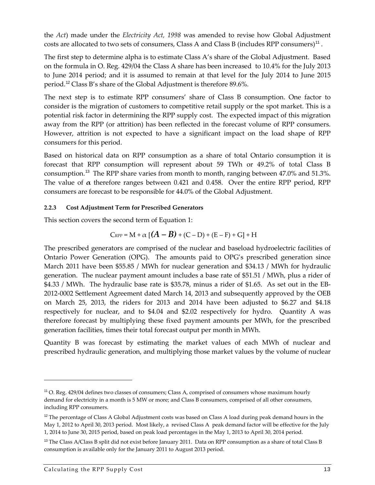the *Act*) made under the *Electricity Act, 1998* was amended to revise how Global Adjustment costs are allocated to two sets of consumers, Class A and Class B (includes RPP consumers)<sup>[11](#page-12-1)</sup>.

The first step to determine alpha is to estimate Class A's share of the Global Adjustment. Based on the formula in O. Reg. 429/04 the Class A share has been increased to 10.4% for the July 2013 to June 2014 period; and it is assumed to remain at that level for the July 2014 to June 2015 period.[12](#page-12-2) Class B's share of the Global Adjustment is therefore 89.6%.

The next step is to estimate RPP consumers' share of Class B consumption. One factor to consider is the migration of customers to competitive retail supply or the spot market. This is a potential risk factor in determining the RPP supply cost. The expected impact of this migration away from the RPP (or attrition) has been reflected in the forecast volume of RPP consumers. However, attrition is not expected to have a significant impact on the load shape of RPP consumers for this period.

Based on historical data on RPP consumption as a share of total Ontario consumption it is forecast that RPP consumption will represent about 59 TWh or 49.2% of total Class B consumption. [13](#page-12-3) The RPP share varies from month to month, ranging between 47.0% and 51.3%. The value of **α** therefore ranges between 0.421 and 0.458. Over the entire RPP period, RPP consumers are forecast to be responsible for 44.0% of the Global Adjustment.

#### <span id="page-12-0"></span>**2.2.3 Cost Adjustment Term for Prescribed Generators**

This section covers the second term of [Equation 1:](#page-9-2)

$$
C_{\text{RPP}} = M + \alpha \left[ (A - B) + (C - D) + (E - F) + G \right] + H
$$

The prescribed generators are comprised of the nuclear and baseload hydroelectric facilities of Ontario Power Generation (OPG). The amounts paid to OPG's prescribed generation since March 2011 have been \$55.85 / MWh for nuclear generation and \$34.13 / MWh for hydraulic generation. The nuclear payment amount includes a base rate of \$51.51 / MWh, plus a rider of \$4.33 / MWh. The hydraulic base rate is \$35.78, minus a rider of \$1.65. As set out in the EB-2012-0002 Settlement Agreement dated March 14, 2013 and subsequently approved by the OEB on March 25, 2013, the riders for 2013 and 2014 have been adjusted to \$6.27 and \$4.18 respectively for nuclear, and to \$4.04 and \$2.02 respectively for hydro. Quantity A was therefore forecast by multiplying these fixed payment amounts per MWh, for the prescribed generation facilities, times their total forecast output per month in MWh.

Quantity B was forecast by estimating the market values of each MWh of nuclear and prescribed hydraulic generation, and multiplying those market values by the volume of nuclear

<span id="page-12-1"></span><sup>11</sup> O. Reg. 429/04 defines two classes of consumers; Class A, comprised of consumers whose maximum hourly demand for electricity in a month is 5 MW or more; and Class B consumers, comprised of all other consumers, including RPP consumers.

<span id="page-12-2"></span><sup>&</sup>lt;sup>12</sup> The percentage of Class A Global Adjustment costs was based on Class A load during peak demand hours in the May 1, 2012 to April 30, 2013 period. Most likely, a revised Class A peak demand factor will be effective for the July 1, 2014 to June 30, 2015 period, based on peak load percentages in the May 1, 2013 to April 30, 2014 period.

<span id="page-12-3"></span><sup>&</sup>lt;sup>13</sup> The Class A/Class B split did not exist before January 2011. Data on RPP consumption as a share of total Class B consumption is available only for the January 2011 to August 2013 period.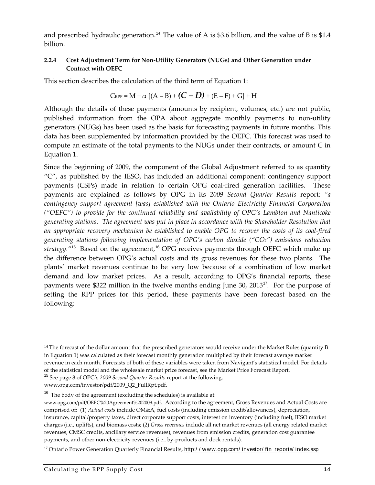and prescribed hydraulic generation.<sup>[14](#page-13-1)</sup> The value of A is \$3.6 billion, and the value of B is \$1.4 billion.

#### <span id="page-13-0"></span>**2.2.4 Cost Adjustment Term for Non-Utility Generators (NUGs) and Other Generation under Contract with OEFC**

This section describes the calculation of the third term of [Equation 1:](#page-9-2)

$$
C_{\text{RPP}} = M + \alpha [(A - B) + (C - D) + (E - F) + G] + H
$$

Although the details of these payments (amounts by recipient, volumes, etc.) are not public, published information from the OPA about aggregate monthly payments to non-utility generators (NUGs) has been used as the basis for forecasting payments in future months. This data has been supplemented by information provided by the OEFC. This forecast was used to compute an estimate of the total payments to the NUGs under their contracts, or amount C in Equation 1.

Since the beginning of 2009, the component of the Global Adjustment referred to as quantity "C", as published by the IESO, has included an additional component: contingency support payments (CSPs) made in relation to certain OPG coal-fired generation facilities. These payments are explained as follows by OPG in its *2009 Second Quarter Results* report: *"a contingency support agreement [was] established with the Ontario Electricity Financial Corporation ("OEFC") to provide for the continued reliability and availability of OPG's Lambton and Nanticoke generating stations. The agreement was put in place in accordance with the Shareholder Resolution that an appropriate recovery mechanism be established to enable OPG to recover the costs of its coal-fired generating stations following implementation of OPG's carbon dioxide ("CO2") emissions reduction*  strategy.<sup>"[15](#page-13-2)</sup> Based on the agreement,<sup>[16](#page-13-3)</sup> OPG receives payments through OEFC which make up the difference between OPG's actual costs and its gross revenues for these two plants. The plants' market revenues continue to be very low because of a combination of low market demand and low market prices. As a result, according to OPG's financial reports, these payments were \$322 million in the twelve months ending June 30, 2013<sup>[17](#page-13-4)</sup>. For the purpose of setting the RPP prices for this period, these payments have been forecast based on the following:

<span id="page-13-2"></span><span id="page-13-1"></span> $<sup>14</sup>$  The forecast of the dollar amount that the prescribed generators would receive under the Market Rules (quantity B)</sup> in Equation 1) was calculated as their forecast monthly generation multiplied by their forecast average market revenue in each month. Forecasts of both of these variables were taken from Navigant's statistical model. For details of the statistical model and the wholesale market price forecast, see the Market Price Forecast Report.

<sup>15</sup> See page 8 of OPG's *2009 Second Quarter Results* report at the following:

www.opg.com/investor/pdf/2009\_Q2\_FullRpt.pdf.

<span id="page-13-3"></span> $16$  The body of the agreement (excluding the schedules) is available at:

[www.opg.com/pdf/OEFC%20Agreement%202009.pdf.](http://www.opg.com/pdf/OEFC%20Agreement%202009.pdf) According to the agreement, Gross Revenues and Actual Costs are comprised of: (1) *Actual costs* include OM&A, fuel costs (including emission credit/allowances), depreciation, insurance, capital/property taxes, direct corporate support costs, interest on inventory (including fuel), IESO market charges (i.e., uplifts), and biomass costs; (2) *Gross revenues* include all net market revenues (all energy related market revenues, CMSC credits, ancillary service revenues), revenues from emission credits, generation cost guarantee payments, and other non-electricity revenues (i.e., by-products and dock rentals).

<span id="page-13-4"></span><sup>&</sup>lt;sup>17</sup> Ontario Power Generation Quarterly Financial Results, http://www.opg.com/investor/fin\_reports/index.asp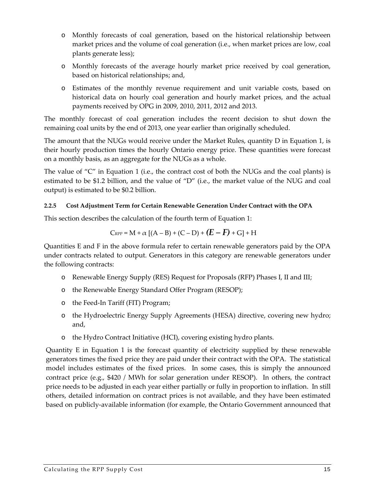- o Monthly forecasts of coal generation, based on the historical relationship between market prices and the volume of coal generation (i.e., when market prices are low, coal plants generate less);
- o Monthly forecasts of the average hourly market price received by coal generation, based on historical relationships; and,
- o Estimates of the monthly revenue requirement and unit variable costs, based on historical data on hourly coal generation and hourly market prices, and the actual payments received by OPG in 2009, 2010, 2011, 2012 and 2013.

The monthly forecast of coal generation includes the recent decision to shut down the remaining coal units by the end of 2013, one year earlier than originally scheduled.

The amount that the NUGs would receive under the Market Rules, quantity D in Equation 1, is their hourly production times the hourly Ontario energy price. These quantities were forecast on a monthly basis, as an aggregate for the NUGs as a whole.

The value of "C" in Equation 1 (i.e., the contract cost of both the NUGs and the coal plants) is estimated to be \$1.2 billion, and the value of "D" (i.e., the market value of the NUG and coal output) is estimated to be \$0.2 billion.

#### <span id="page-14-0"></span>**2.2.5 Cost Adjustment Term for Certain Renewable Generation Under Contract with the OPA**

This section describes the calculation of the fourth term of [Equation 1:](#page-9-2)

$$
C_{\text{RPP}} = M + \alpha [(A - B) + (C - D) + (E - F) + G] + H
$$

Quantities E and F in the above formula refer to certain renewable generators paid by the OPA under contracts related to output. Generators in this category are renewable generators under the following contracts:

- o Renewable Energy Supply (RES) Request for Proposals (RFP) Phases I, II and III;
- o the Renewable Energy Standard Offer Program (RESOP);
- o the Feed-In Tariff (FIT) Program;
- o the Hydroelectric Energy Supply Agreements (HESA) directive, covering new hydro; and,
- o the Hydro Contract Initiative (HCI), covering existing hydro plants.

Quantity E in [Equation 1](#page-9-2) is the forecast quantity of electricity supplied by these renewable generators times the fixed price they are paid under their contract with the OPA. The statistical model includes estimates of the fixed prices. In some cases, this is simply the announced contract price (e.g., \$420 / MWh for solar generation under RESOP). In others, the contract price needs to be adjusted in each year either partially or fully in proportion to inflation. In still others, detailed information on contract prices is not available, and they have been estimated based on publicly-available information (for example, the Ontario Government announced that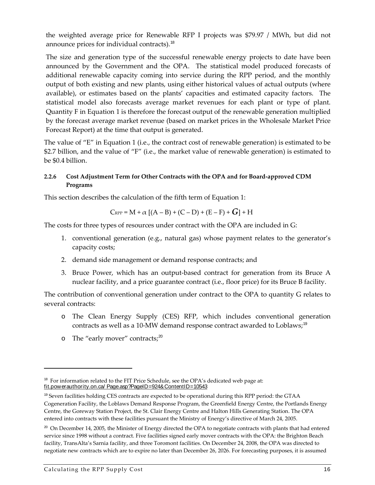the weighted average price for Renewable RFP I projects was \$79.97 / MWh, but did not announce prices for individual contracts).<sup>[18](#page-15-1)</sup>

The size and generation type of the successful renewable energy projects to date have been announced by the Government and the OPA. The statistical model produced forecasts of additional renewable capacity coming into service during the RPP period, and the monthly output of both existing and new plants, using either historical values of actual outputs (where available), or estimates based on the plants' capacities and estimated capacity factors. The statistical model also forecasts average market revenues for each plant or type of plant. Quantity F in [Equation 1](#page-9-2) is therefore the forecast output of the renewable generation multiplied by the forecast average market revenue (based on market prices in the Wholesale Market Price Forecast Report) at the time that output is generated.

The value of "E" in Equation 1 (i.e., the contract cost of renewable generation) is estimated to be \$2.7 billion, and the value of "F" (i.e., the market value of renewable generation) is estimated to be \$0.4 billion.

#### <span id="page-15-0"></span>**2.2.6 Cost Adjustment Term for Other Contracts with the OPA and for Board-approved CDM Programs**

This section describes the calculation of the fifth term of [Equation 1:](#page-9-2)

$$
\text{C}_{\text{RPP}} = \text{M} + \alpha \left[ (\text{A} - \text{B}) + (\text{C} - \text{D}) + (\text{E} - \text{F}) + \text{G} \right] + \text{H}
$$

The costs for three types of resources under contract with the OPA are included in G:

- 1. conventional generation (e.g., natural gas) whose payment relates to the generator's capacity costs;
- 2. demand side management or demand response contracts; and
- 3. Bruce Power, which has an output-based contract for generation from its Bruce A nuclear facility, and a price guarantee contract (i.e., floor price) for its Bruce B facility.

The contribution of conventional generation under contract to the OPA to quantity G relates to several contracts:

- o The Clean Energy Supply (CES) RFP, which includes conventional generation contracts as well as a 10-MW demand response contract awarded to Loblaws;<sup>[19](#page-15-2)</sup>
- o The "early mover" contracts;[20](#page-15-3)

l

<span id="page-15-1"></span><sup>&</sup>lt;sup>18</sup> For information related to the FIT Price Schedule, see the OPA's dedicated web page at: [fit.powerauthority.on.ca/ Page.asp?PageID=924&ContentID=10543](http://fit.powerauthority.on.ca/Page.asp?PageID=924&ContentID=10543)

<span id="page-15-2"></span><sup>19</sup> Seven facilities holding CES contracts are expected to be operational during this RPP period: the GTAA Cogeneration Facility, the Loblaws Demand Response Program, the Greenfield Energy Centre, the Portlands Energy Centre, the Goreway Station Project, the St. Clair Energy Centre and Halton Hills Generating Station. The OPA entered into contracts with these facilities pursuant the Ministry of Energy's directive of March 24, 2005.

<span id="page-15-3"></span> $20$  On December 14, 2005, the Minister of Energy directed the OPA to negotiate contracts with plants that had entered service since 1998 without a contract. Five facilities signed early mover contracts with the OPA: the Brighton Beach facility, TransAlta's Sarnia facility, and three Toromont facilities. On December 24, 2008, the OPA was directed to negotiate new contracts which are to expire no later than December 26, 2026. For forecasting purposes, it is assumed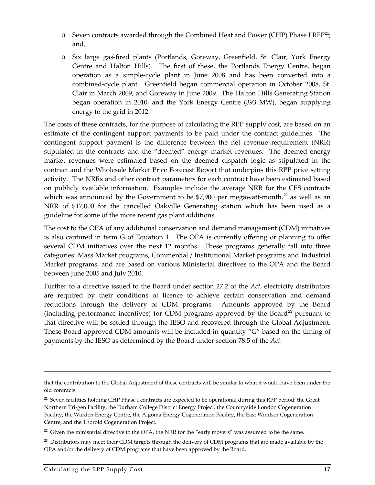- $\circ$  Seven contracts awarded through the Combined Heat and Power (CHP) Phase I RFP<sup>[21](#page-16-0)</sup>; and,
- o Six large gas-fired plants (Portlands, Goreway, Greenfield, St. Clair, York Energy Centre and Halton Hills). The first of these, the Portlands Energy Centre, began operation as a simple-cycle plant in June 2008 and has been converted into a combined-cycle plant. Greenfield began commercial operation in October 2008, St. Clair in March 2009, and Goreway in June 2009. The Halton Hills Generating Station began operation in 2010, and the York Energy Centre (393 MW), began supplying energy to the grid in 2012.

The costs of these contracts, for the purpose of calculating the RPP supply cost, are based on an estimate of the contingent support payments to be paid under the contract guidelines. The contingent support payment is the difference between the net revenue requirement (NRR) stipulated in the contracts and the "deemed" energy market revenues. The deemed energy market revenues were estimated based on the deemed dispatch logic as stipulated in the contract and the Wholesale Market Price Forecast Report that underpins this RPP price setting activity. The NRRs and other contract parameters for each contract have been estimated based on publicly available information. Examples include the average NRR for the CES contracts which was announced by the Government to be \$7,900 per megawatt-month, $^{22}$  $^{22}$  $^{22}$  as well as an NRR of \$17,000 for the cancelled Oakville Generating station which has been used as a guideline for some of the more recent gas plant additions.

The cost to the OPA of any additional conservation and demand management (CDM) initiatives is also captured in term G of Equation 1. The OPA is currently offering or planning to offer several CDM initiatives over the next 12 months. These programs generally fall into three categories: Mass Market programs, Commercial / Institutional Market programs and Industrial Market programs, and are based on various Ministerial directives to the OPA and the Board between June 2005 and July 2010.

Further to a directive issued to the Board under section 27.2 of the *Act*, electricity distributors are required by their conditions of licence to achieve certain conservation and demand reductions through the delivery of CDM programs. Amounts approved by the Board (including performance incentives) for CDM programs approved by the Board<sup>[23](#page-16-2)</sup> pursuant to that directive will be settled through the IESO and recovered through the Global Adjustment. These Board-approved CDM amounts will be included in quantity "G" based on the timing of payments by the IESO as determined by the Board under section 78.5 of the *Act.* 

that the contribution to the Global Adjustment of these contracts will be similar to what it would have been under the old contracts.

<span id="page-16-0"></span><sup>&</sup>lt;sup>21</sup> Seven facilities holding CHP Phase I contracts are expected to be operational during this RPP period: the Great Northern Tri-gen Facility, the Durham College District Energy Project, the Countryside London Cogeneration Facility, the Warden Energy Centre, the Algoma Energy Cogeneration Facility, the East Windsor Cogeneration Centre, and the Thorold Cogeneration Project.

<span id="page-16-1"></span> $22$  Given the ministerial directive to the OPA, the NRR for the "early movers" was assumed to be the same.

<span id="page-16-2"></span> $^{23}$  Distributors may meet their CDM targets through the delivery of CDM programs that are made available by the OPA and/or the delivery of CDM programs that have been approved by the Board.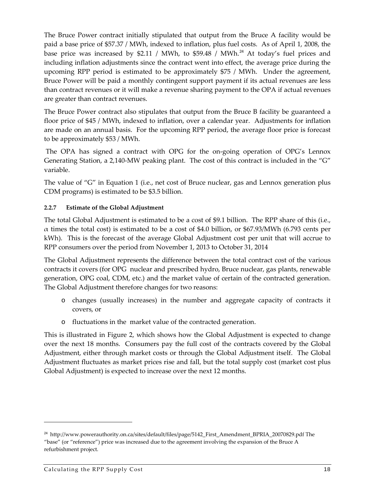The Bruce Power contract initially stipulated that output from the Bruce A facility would be paid a base price of \$57.37 / MWh, indexed to inflation, plus fuel costs. As of April 1, 2008, the base price was increased by \$2.11 / MWh, to \$59.48 / MWh.<sup>[24](#page-17-1)</sup> At today's fuel prices and including inflation adjustments since the contract went into effect, the average price during the upcoming RPP period is estimated to be approximately \$75 / MWh. Under the agreement, Bruce Power will be paid a monthly contingent support payment if its actual revenues are less than contract revenues or it will make a revenue sharing payment to the OPA if actual revenues are greater than contract revenues.

The Bruce Power contract also stipulates that output from the Bruce B facility be guaranteed a floor price of \$45 / MWh, indexed to inflation, over a calendar year. Adjustments for inflation are made on an annual basis. For the upcoming RPP period, the average floor price is forecast to be approximately \$53 / MWh.

The OPA has signed a contract with OPG for the on-going operation of OPG's Lennox Generating Station, a 2,140-MW peaking plant. The cost of this contract is included in the "G" variable.

The value of "G" in Equation 1 (i.e., net cost of Bruce nuclear, gas and Lennox generation plus CDM programs) is estimated to be \$3.5 billion.

#### <span id="page-17-0"></span>**2.2.7 Estimate of the Global Adjustment**

The total Global Adjustment is estimated to be a cost of \$9.1 billion. The RPP share of this (i.e., α times the total cost) is estimated to be a cost of \$4.0 billion, or \$67.93/MWh (6.793 cents per kWh). This is the forecast of the average Global Adjustment cost per unit that will accrue to RPP consumers over the period from November 1, 2013 to October 31, 2014

The Global Adjustment represents the difference between the total contract cost of the various contracts it covers (for OPG nuclear and prescribed hydro, Bruce nuclear, gas plants, renewable generation, OPG coal, CDM, etc.) and the market value of certain of the contracted generation. The Global Adjustment therefore changes for two reasons:

- o changes (usually increases) in the number and aggregate capacity of contracts it covers, or
- o fluctuations in the market value of the contracted generation.

This is illustrated in [Figure 2,](#page-18-1) which shows how the Global Adjustment is expected to change over the next 18 months. Consumers pay the full cost of the contracts covered by the Global Adjustment, either through market costs or through the Global Adjustment itself. The Global Adjustment fluctuates as market prices rise and fall, but the total supply cost (market cost plus Global Adjustment) is expected to increase over the next 12 months.

<span id="page-17-1"></span><sup>24</sup> http://www.powerauthority.on.ca/sites/default/files/page/5142\_First\_Amendment\_BPRIA\_20070829.pdf The "base" (or "reference") price was increased due to the agreement involving the expansion of the Bruce A refurbishment project.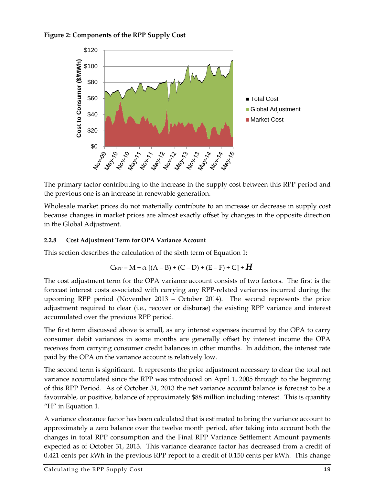<span id="page-18-1"></span>



The primary factor contributing to the increase in the supply cost between this RPP period and the previous one is an increase in renewable generation.

Wholesale market prices do not materially contribute to an increase or decrease in supply cost because changes in market prices are almost exactly offset by changes in the opposite direction in the Global Adjustment.

#### <span id="page-18-0"></span>**2.2.8 Cost Adjustment Term for OPA Variance Account**

This section describes the calculation of the sixth term of [Equation 1:](#page-9-2)

$$
C_{\text{RPP}} = M + \alpha [(A - B) + (C - D) + (E - F) + G] + H
$$

The cost adjustment term for the OPA variance account consists of two factors. The first is the forecast interest costs associated with carrying any RPP-related variances incurred during the upcoming RPP period (November 2013 – October 2014). The second represents the price adjustment required to clear (i.e., recover or disburse) the existing RPP variance and interest accumulated over the previous RPP period.

The first term discussed above is small, as any interest expenses incurred by the OPA to carry consumer debit variances in some months are generally offset by interest income the OPA receives from carrying consumer credit balances in other months. In addition, the interest rate paid by the OPA on the variance account is relatively low.

The second term is significant. It represents the price adjustment necessary to clear the total net variance accumulated since the RPP was introduced on April 1, 2005 through to the beginning of this RPP Period. As of October 31, 2013 the net variance account balance is forecast to be a favourable, or positive, balance of approximately \$88 million including interest. This is quantity "H" in Equation 1.

A variance clearance factor has been calculated that is estimated to bring the variance account to approximately a zero balance over the twelve month period, after taking into account both the changes in total RPP consumption and the Final RPP Variance Settlement Amount payments expected as of October 31, 2013. This variance clearance factor has decreased from a credit of 0.421 cents per kWh in the previous RPP report to a credit of 0.150 cents per kWh. This change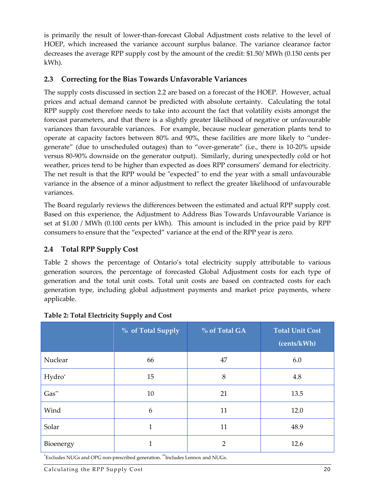is primarily the result of lower-than-forecast Global Adjustment costs relative to the level of HOEP, which increased the variance account surplus balance. The variance clearance factor decreases the average RPP supply cost by the amount of the credit: \$1.50/ MWh (0.150 cents per kWh).

#### <span id="page-19-0"></span>**2.3 Correcting for the Bias Towards Unfavorable Variances**

The supply costs discussed in section [2.2](#page-10-0) are based on a forecast of the HOEP. However, actual prices and actual demand cannot be predicted with absolute certainty. Calculating the total RPP supply cost therefore needs to take into account the fact that volatility exists amongst the forecast parameters, and that there is a slightly greater likelihood of negative or unfavourable variances than favourable variances. For example, because nuclear generation plants tend to operate at capacity factors between 80% and 90%, these facilities are more likely to "undergenerate" (due to unscheduled outages) than to "over-generate" (i.e., there is 10-20% upside versus 80-90% downside on the generator output). Similarly, during unexpectedly cold or hot weather, prices tend to be higher than expected as does RPP consumers' demand for electricity. The net result is that the RPP would be "expected" to end the year with a small unfavourable variance in the absence of a minor adjustment to reflect the greater likelihood of unfavourable variances.

The Board regularly reviews the differences between the estimated and actual RPP supply cost. Based on this experience, the Adjustment to Address Bias Towards Unfavourable Variance is set at \$1.00 / MWh (0.100 cents per kWh). This amount is included in the price paid by RPP consumers to ensure that the "expected" variance at the end of the RPP year is zero.

#### <span id="page-19-1"></span>**2.4 Total RPP Supply Cost**

Table 2 shows the percentage of Ontario's total electricity supply attributable to various generation sources, the percentage of forecasted Global Adjustment costs for each type of generation and the total unit costs. Total unit costs are based on contracted costs for each generation type, including global adjustment payments and market price payments, where applicable.

|           | % of Total Supply | % of Total GA  | <b>Total Unit Cost</b><br>(cents/kWh) |
|-----------|-------------------|----------------|---------------------------------------|
| Nuclear   | 66                | 47             | 6.0                                   |
| Hydro*    | 15                | 8              | 4.8                                   |
| Gas**     | 10                | 21             | 13.5                                  |
| Wind      | 6                 | 11             | 12.0                                  |
| Solar     | 1                 | 11             | 48.9                                  |
| Bioenergy |                   | $\overline{2}$ | 12.6                                  |

#### <span id="page-19-2"></span>**Table 2: Total Electricity Supply and Cost**

\* Excludes NUGs and OPG non-prescribed generation. \*\*Includes Lennox and NUGs.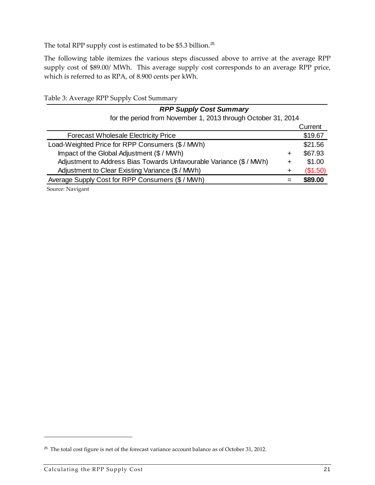The total RPP supply cost is estimated to be \$5.3 billion.<sup>[25](#page-20-1)</sup>

The following table itemizes the various steps discussed above to arrive at the average RPP supply cost of \$89.00/ MWh. This average supply cost corresponds to an average RPP price, which is referred to as RPA, of 8.900 cents per kWh.

<span id="page-20-0"></span>Table 3: Average RPP Supply Cost Summary

| <b>RPP Supply Cost Summary</b>                                     |   |          |
|--------------------------------------------------------------------|---|----------|
| for the period from November 1, 2013 through October 31, 2014      |   |          |
|                                                                    |   | Current  |
| <b>Forecast Wholesale Electricity Price</b>                        |   | \$19.67  |
| Load-Weighted Price for RPP Consumers (\$ / MWh)                   |   | \$21.56  |
| Impact of the Global Adjustment (\$ / MWh)                         | ÷ | \$67.93  |
| Adjustment to Address Bias Towards Unfavourable Variance (\$/ MWh) | + | \$1.00   |
| Adjustment to Clear Existing Variance (\$ / MWh)                   | ÷ | (\$1.50) |
| Average Supply Cost for RPP Consumers (\$ / MWh)                   |   | \$89.00  |
|                                                                    |   |          |

Source: Navigant

<span id="page-20-1"></span><sup>&</sup>lt;sup>25</sup> The total cost figure is net of the forecast variance account balance as of October 31, 2012.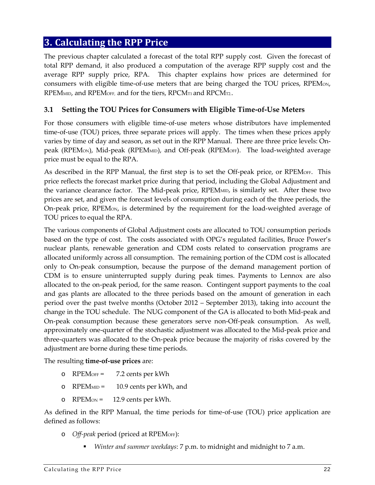### <span id="page-21-0"></span>**3. Calculating the RPP Price**

The previous chapter calculated a forecast of the total RPP supply cost. Given the forecast of total RPP demand, it also produced a computation of the average RPP supply cost and the average RPP supply price, RPA. This chapter explains how prices are determined for consumers with eligible time-of-use meters that are being charged the TOU prices, RPEMON, RPEM<sub>MID</sub>, and RPEM<sub>OFF</sub>, and for the tiers, RPCM<sub>T1</sub> and RPCM<sub>T2</sub>.

#### <span id="page-21-1"></span>**3.1 Setting the TOU Prices for Consumers with Eligible Time-of-Use Meters**

For those consumers with eligible time-of-use meters whose distributors have implemented time-of-use (TOU) prices, three separate prices will apply. The times when these prices apply varies by time of day and season, as set out in the RPP Manual. There are three price levels: Onpeak (RPEMon), Mid-peak (RPEMMID), and Off-peak (RPEMOFF). The load-weighted average price must be equal to the RPA.

As described in the RPP Manual, the first step is to set the Off-peak price, or RPEMOFF. This price reflects the forecast market price during that period, including the Global Adjustment and the variance clearance factor. The Mid-peak price, RPEM<sub>MID</sub>, is similarly set. After these two prices are set, and given the forecast levels of consumption during each of the three periods, the On-peak price, RPEMON, is determined by the requirement for the load-weighted average of TOU prices to equal the RPA.

The various components of Global Adjustment costs are allocated to TOU consumption periods based on the type of cost. The costs associated with OPG's regulated facilities, Bruce Power's nuclear plants, renewable generation and CDM costs related to conservation programs are allocated uniformly across all consumption. The remaining portion of the CDM cost is allocated only to On-peak consumption, because the purpose of the demand management portion of CDM is to ensure uninterrupted supply during peak times. Payments to Lennox are also allocated to the on-peak period, for the same reason. Contingent support payments to the coal and gas plants are allocated to the three periods based on the amount of generation in each period over the past twelve months (October 2012 – September 2013), taking into account the change in the TOU schedule. The NUG component of the GA is allocated to both Mid-peak and On-peak consumption because these generators serve non-Off-peak consumption. As well, approximately one-quarter of the stochastic adjustment was allocated to the Mid-peak price and three-quarters was allocated to the On-peak price because the majority of risks covered by the adjustment are borne during these time periods.

The resulting **time-of-use prices** are:

- o RPEMOFF = 7.2 cents per kWh
- o RPEMMID = 10.9 cents per kWh, and
- $O$  RPEM $ON = 12.9$  cents per kWh.

As defined in the RPP Manual, the time periods for time-of-use (TOU) price application are defined as follows:

- o *Off-peak* period (priced at RPEMOFF):
	- *Winter and summer weekdays*: 7 p.m. to midnight and midnight to 7 a.m.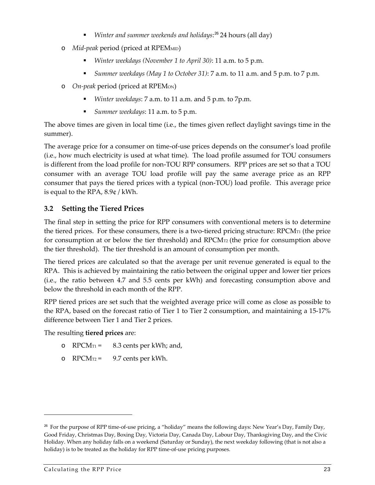- *Winter and summer weekends and holidays*: [26](#page-22-1) 24 hours (all day)
- o *Mid-peak* period (priced at RPEMMID)
	- *Winter weekdays (November 1 to April 30)*: 11 a.m. to 5 p.m.
	- *Summer weekdays (May 1 to October 31)*: 7 a.m. to 11 a.m. and 5 p.m. to 7 p.m.
- o *On-peak* period (priced at RPEMON)
	- *Winter weekdays*: 7 a.m. to 11 a.m. and 5 p.m. to 7p.m.
	- *Summer weekdays*: 11 a.m. to 5 p.m.

The above times are given in local time (i.e., the times given reflect daylight savings time in the summer).

The average price for a consumer on time-of-use prices depends on the consumer's load profile (i.e., how much electricity is used at what time). The load profile assumed for TOU consumers is different from the load profile for non-TOU RPP consumers. RPP prices are set so that a TOU consumer with an average TOU load profile will pay the same average price as an RPP consumer that pays the tiered prices with a typical (non-TOU) load profile. This average price is equal to the RPA, 8.9¢ / kWh.

#### <span id="page-22-0"></span>**3.2 Setting the Tiered Prices**

The final step in setting the price for RPP consumers with conventional meters is to determine the tiered prices. For these consumers, there is a two-tiered pricing structure:  $\text{RPCM}_{\text{TI}}$  (the price for consumption at or below the tier threshold) and  $\text{RPCM}_{\text{T2}}$  (the price for consumption above the tier threshold). The tier threshold is an amount of consumption per month.

The tiered prices are calculated so that the average per unit revenue generated is equal to the RPA. This is achieved by maintaining the ratio between the original upper and lower tier prices (i.e., the ratio between 4.7 and 5.5 cents per kWh) and forecasting consumption above and below the threshold in each month of the RPP.

RPP tiered prices are set such that the weighted average price will come as close as possible to the RPA, based on the forecast ratio of Tier 1 to Tier 2 consumption, and maintaining a 15-17% difference between Tier 1 and Tier 2 prices.

The resulting **tiered prices** are:

- o  $RPCM_{T1} = 8.3$  cents per kWh; and,
- o  $RPCM_{T2} = 9.7$  cents per kWh.

<span id="page-22-1"></span> $^{26}$  For the purpose of RPP time-of-use pricing, a "holiday" means the following days: New Year's Day, Family Day, Good Friday, Christmas Day, Boxing Day, Victoria Day, Canada Day, Labour Day, Thanksgiving Day, and the Civic Holiday. When any holiday falls on a weekend (Saturday or Sunday), the next weekday following (that is not also a holiday) is to be treated as the holiday for RPP time-of-use pricing purposes.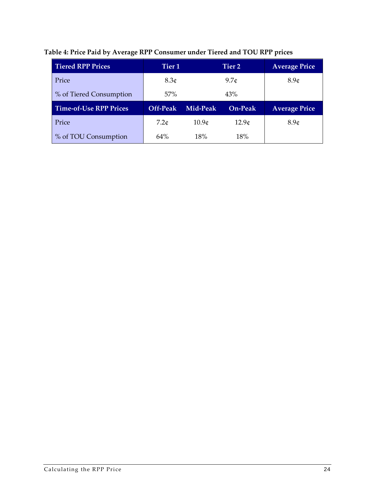<span id="page-23-0"></span>

| <b>Tiered RPP Prices</b>      | Tier 1           |                     | Tier 2            |                      |
|-------------------------------|------------------|---------------------|-------------------|----------------------|
| Price                         | 8.3 <sub>¢</sub> | $9.7\mathcal{C}$    |                   | 8.9 <sub>¢</sub>     |
| % of Tiered Consumption       | 57%              | 43%                 |                   |                      |
|                               |                  | On-Peak<br>Mid-Peak |                   |                      |
| <b>Time-of-Use RPP Prices</b> | Off-Peak         |                     |                   | <b>Average Price</b> |
| Price                         | 7.2c             | 10.9 <sub>¢</sub>   | 12.9 <sub>0</sub> | 8.9 <sub>¢</sub>     |

## **Table 4: Price Paid by Average RPP Consumer under Tiered and TOU RPP prices**